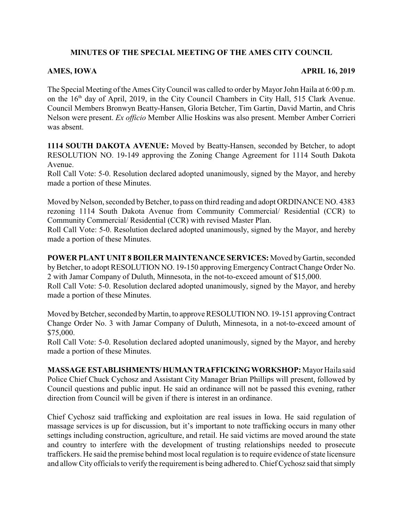## **MINUTES OF THE SPECIAL MEETING OF THE AMES CITY COUNCIL**

## **AMES, IOWA APRIL 16, 2019**

The Special Meeting of the Ames CityCouncil was called to order by Mayor John Haila at 6:00 p.m. on the 16<sup>th</sup> day of April, 2019, in the City Council Chambers in City Hall, 515 Clark Avenue. Council Members Bronwyn Beatty-Hansen, Gloria Betcher, Tim Gartin, David Martin, and Chris Nelson were present. *Ex officio* Member Allie Hoskins was also present. Member Amber Corrieri was absent.

**1114 SOUTH DAKOTA AVENUE:** Moved by Beatty-Hansen, seconded by Betcher, to adopt RESOLUTION NO. 19-149 approving the Zoning Change Agreement for 1114 South Dakota Avenue.

Roll Call Vote: 5-0. Resolution declared adopted unanimously, signed by the Mayor, and hereby made a portion of these Minutes.

Moved by Nelson, seconded by Betcher, to pass on third reading and adopt ORDINANCE NO. 4383 rezoning 1114 South Dakota Avenue from Community Commercial/ Residential (CCR) to Community Commercial/ Residential (CCR) with revised Master Plan.

Roll Call Vote: 5-0. Resolution declared adopted unanimously, signed by the Mayor, and hereby made a portion of these Minutes.

**POWER PLANT UNIT 8 BOILER MAINTENANCE SERVICES:** Moved byGartin, seconded byBetcher, to adopt RESOLUTION NO. 19-150 approving EmergencyContract Change Order No. 2 with Jamar Company of Duluth, Minnesota, in the not-to-exceed amount of \$15,000.

Roll Call Vote: 5-0. Resolution declared adopted unanimously, signed by the Mayor, and hereby made a portion of these Minutes.

Moved by Betcher, seconded by Martin, to approve RESOLUTION NO. 19-151 approving Contract Change Order No. 3 with Jamar Company of Duluth, Minnesota, in a not-to-exceed amount of \$75,000.

Roll Call Vote: 5-0. Resolution declared adopted unanimously, signed by the Mayor, and hereby made a portion of these Minutes.

**MASSAGE ESTABLISHMENTS/HUMAN TRAFFICKINGWORKSHOP:**Mayor Haila said Police Chief Chuck Cychosz and Assistant City Manager Brian Phillips will present, followed by Council questions and public input. He said an ordinance will not be passed this evening, rather direction from Council will be given if there is interest in an ordinance.

Chief Cychosz said trafficking and exploitation are real issues in Iowa. He said regulation of massage services is up for discussion, but it's important to note trafficking occurs in many other settings including construction, agriculture, and retail. He said victims are moved around the state and country to interfere with the development of trusting relationships needed to prosecute traffickers. He said the premise behind most local regulation is to require evidence of state licensure and allow City officials to verify the requirement is being adhered to. Chief Cychosz said that simply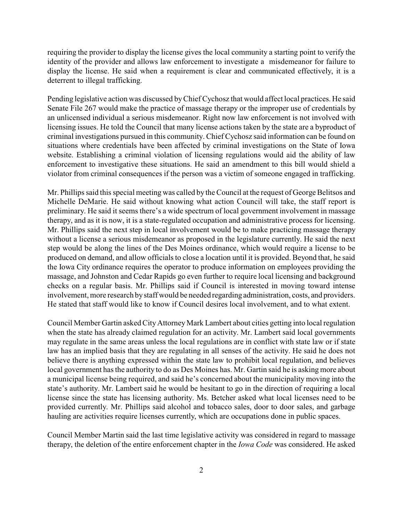requiring the provider to display the license gives the local community a starting point to verify the identity of the provider and allows law enforcement to investigate a misdemeanor for failure to display the license. He said when a requirement is clear and communicated effectively, it is a deterrent to illegal trafficking.

Pending legislative action was discussed byChief Cychosz that would affect local practices. He said Senate File 267 would make the practice of massage therapy or the improper use of credentials by an unlicensed individual a serious misdemeanor. Right now law enforcement is not involved with licensing issues. He told the Council that many license actions taken by the state are a byproduct of criminal investigations pursued in this community. Chief Cychosz said information can be found on situations where credentials have been affected by criminal investigations on the State of Iowa website. Establishing a criminal violation of licensing regulations would aid the ability of law enforcement to investigative these situations. He said an amendment to this bill would shield a violator from criminal consequences if the person was a victim of someone engaged in trafficking.

Mr. Phillips said this special meeting was called by the Council at the request of George Belitsos and Michelle DeMarie. He said without knowing what action Council will take, the staff report is preliminary. He said it seems there's a wide spectrum of local government involvement in massage therapy, and as it is now, it is a state-regulated occupation and administrative process for licensing. Mr. Phillips said the next step in local involvement would be to make practicing massage therapy without a license a serious misdemeanor as proposed in the legislature currently. He said the next step would be along the lines of the Des Moines ordinance, which would require a license to be produced on demand, and allow officials to close a location until it is provided. Beyond that, he said the Iowa City ordinance requires the operator to produce information on employees providing the massage, and Johnston and Cedar Rapids go even further to require local licensing and background checks on a regular basis. Mr. Phillips said if Council is interested in moving toward intense involvement, more research by staff would be needed regarding administration, costs, and providers. He stated that staff would like to know if Council desires local involvement, and to what extent.

Council Member Gartin asked City Attorney Mark Lambert about cities getting into local regulation when the state has already claimed regulation for an activity. Mr. Lambert said local governments may regulate in the same areas unless the local regulations are in conflict with state law or if state law has an implied basis that they are regulating in all senses of the activity. He said he does not believe there is anything expressed within the state law to prohibit local regulation, and believes local government has the authority to do as Des Moines has. Mr. Gartin said he is asking more about a municipal license being required, and said he's concerned about the municipality moving into the state's authority. Mr. Lambert said he would be hesitant to go in the direction of requiring a local license since the state has licensing authority. Ms. Betcher asked what local licenses need to be provided currently. Mr. Phillips said alcohol and tobacco sales, door to door sales, and garbage hauling are activities require licenses currently, which are occupations done in public spaces.

Council Member Martin said the last time legislative activity was considered in regard to massage therapy, the deletion of the entire enforcement chapter in the *Iowa Code* was considered. He asked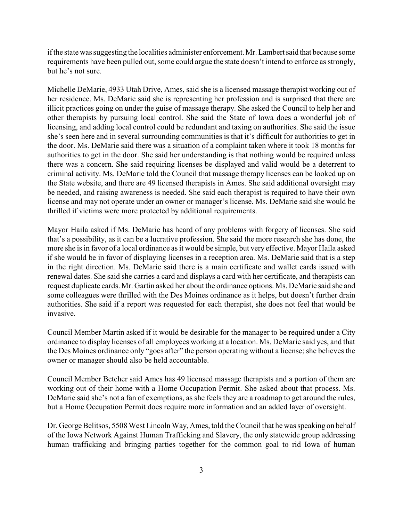if the state was suggesting the localities administer enforcement. Mr. Lambert said that because some requirements have been pulled out, some could argue the state doesn't intend to enforce as strongly, but he's not sure.

Michelle DeMarie, 4933 Utah Drive, Ames, said she is a licensed massage therapist working out of her residence. Ms. DeMarie said she is representing her profession and is surprised that there are illicit practices going on under the guise of massage therapy. She asked the Council to help her and other therapists by pursuing local control. She said the State of Iowa does a wonderful job of licensing, and adding local control could be redundant and taxing on authorities. She said the issue she's seen here and in several surrounding communities is that it's difficult for authorities to get in the door. Ms. DeMarie said there was a situation of a complaint taken where it took 18 months for authorities to get in the door. She said her understanding is that nothing would be required unless there was a concern. She said requiring licenses be displayed and valid would be a deterrent to criminal activity. Ms. DeMarie told the Council that massage therapy licenses can be looked up on the State website, and there are 49 licensed therapists in Ames. She said additional oversight may be needed, and raising awareness is needed. She said each therapist is required to have their own license and may not operate under an owner or manager's license. Ms. DeMarie said she would be thrilled if victims were more protected by additional requirements.

Mayor Haila asked if Ms. DeMarie has heard of any problems with forgery of licenses. She said that's a possibility, as it can be a lucrative profession. She said the more research she has done, the more she is in favor of a local ordinance as it would be simple, but very effective. Mayor Haila asked if she would be in favor of displaying licenses in a reception area. Ms. DeMarie said that is a step in the right direction. Ms. DeMarie said there is a main certificate and wallet cards issued with renewal dates. She said she carries a card and displays a card with her certificate, and therapists can request duplicate cards. Mr. Gartin asked her about the ordinance options. Ms. DeMarie said she and some colleagues were thrilled with the Des Moines ordinance as it helps, but doesn't further drain authorities. She said if a report was requested for each therapist, she does not feel that would be invasive.

Council Member Martin asked if it would be desirable for the manager to be required under a City ordinance to display licenses of all employees working at a location. Ms. DeMarie said yes, and that the Des Moines ordinance only "goes after" the person operating without a license; she believes the owner or manager should also be held accountable.

Council Member Betcher said Ames has 49 licensed massage therapists and a portion of them are working out of their home with a Home Occupation Permit. She asked about that process. Ms. DeMarie said she's not a fan of exemptions, as she feels they are a roadmap to get around the rules, but a Home Occupation Permit does require more information and an added layer of oversight.

Dr. George Belitsos, 5508 West Lincoln Way, Ames, told the Council that he was speaking on behalf of the Iowa Network Against Human Trafficking and Slavery, the only statewide group addressing human trafficking and bringing parties together for the common goal to rid Iowa of human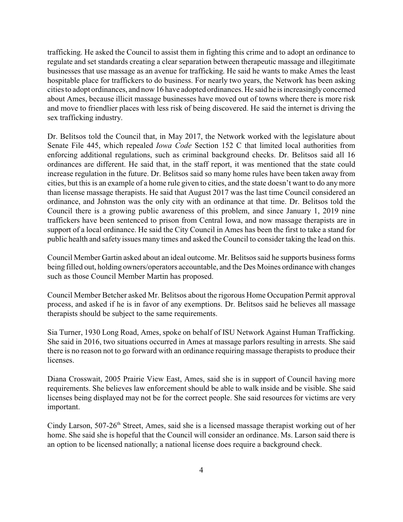trafficking. He asked the Council to assist them in fighting this crime and to adopt an ordinance to regulate and set standards creating a clear separation between therapeutic massage and illegitimate businesses that use massage as an avenue for trafficking. He said he wants to make Ames the least hospitable place for traffickers to do business. For nearly two years, the Network has been asking cities to adopt ordinances, and now 16 have adopted ordinances. He said he is increasinglyconcerned about Ames, because illicit massage businesses have moved out of towns where there is more risk and move to friendlier places with less risk of being discovered. He said the internet is driving the sex trafficking industry.

Dr. Belitsos told the Council that, in May 2017, the Network worked with the legislature about Senate File 445, which repealed *Iowa Code* Section 152 C that limited local authorities from enforcing additional regulations, such as criminal background checks. Dr. Belitsos said all 16 ordinances are different. He said that, in the staff report, it was mentioned that the state could increase regulation in the future. Dr. Belitsos said so many home rules have been taken away from cities, but this is an example of a home rule given to cities, and the state doesn't want to do any more than license massage therapists. He said that August 2017 was the last time Council considered an ordinance, and Johnston was the only city with an ordinance at that time. Dr. Belitsos told the Council there is a growing public awareness of this problem, and since January 1, 2019 nine traffickers have been sentenced to prison from Central Iowa, and now massage therapists are in support of a local ordinance. He said the City Council in Ames has been the first to take a stand for public health and safety issues many times and asked the Council to consider taking the lead on this.

Council Member Gartin asked about an ideal outcome. Mr. Belitsos said he supports business forms being filled out, holding owners/operators accountable, and the Des Moines ordinance with changes such as those Council Member Martin has proposed.

Council Member Betcher asked Mr. Belitsos about the rigorous Home Occupation Permit approval process, and asked if he is in favor of any exemptions. Dr. Belitsos said he believes all massage therapists should be subject to the same requirements.

Sia Turner, 1930 Long Road, Ames, spoke on behalf of ISU Network Against Human Trafficking. She said in 2016, two situations occurred in Ames at massage parlors resulting in arrests. She said there is no reason not to go forward with an ordinance requiring massage therapists to produce their licenses.

Diana Crosswait, 2005 Prairie View East, Ames, said she is in support of Council having more requirements. She believes law enforcement should be able to walk inside and be visible. She said licenses being displayed may not be for the correct people. She said resources for victims are very important.

Cindy Larson, 507-26<sup>th</sup> Street, Ames, said she is a licensed massage therapist working out of her home. She said she is hopeful that the Council will consider an ordinance. Ms. Larson said there is an option to be licensed nationally; a national license does require a background check.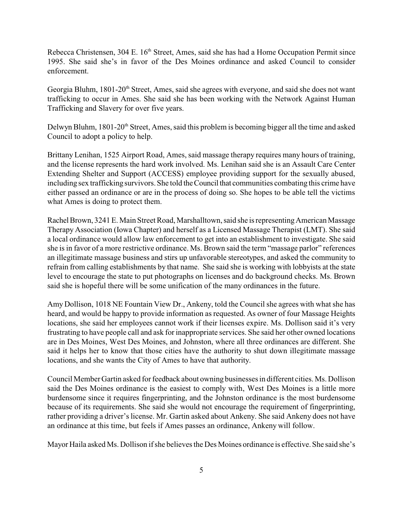Rebecca Christensen, 304 E. 16<sup>th</sup> Street, Ames, said she has had a Home Occupation Permit since 1995. She said she's in favor of the Des Moines ordinance and asked Council to consider enforcement.

Georgia Bluhm, 1801-20<sup>th</sup> Street, Ames, said she agrees with everyone, and said she does not want trafficking to occur in Ames. She said she has been working with the Network Against Human Trafficking and Slavery for over five years.

Delwyn Bluhm, 1801-20<sup>th</sup> Street, Ames, said this problem is becoming bigger all the time and asked Council to adopt a policy to help.

Brittany Lenihan, 1525 Airport Road, Ames, said massage therapy requires many hours of training, and the license represents the hard work involved. Ms. Lenihan said she is an Assault Care Center Extending Shelter and Support (ACCESS) employee providing support for the sexually abused, including sex trafficking survivors. She told the Council that communities combating this crime have either passed an ordinance or are in the process of doing so. She hopes to be able tell the victims what Ames is doing to protect them.

Rachel Brown, 3241 E. Main Street Road, Marshalltown, said she is representing American Massage Therapy Association (Iowa Chapter) and herself as a Licensed Massage Therapist (LMT). She said a local ordinance would allow law enforcement to get into an establishment to investigate. She said she is in favor of a more restrictive ordinance. Ms. Brown said the term "massage parlor" references an illegitimate massage business and stirs up unfavorable stereotypes, and asked the community to refrain from calling establishments by that name. She said she is working with lobbyists at the state level to encourage the state to put photographs on licenses and do background checks. Ms. Brown said she is hopeful there will be some unification of the many ordinances in the future.

Amy Dollison, 1018 NE Fountain View Dr., Ankeny, told the Council she agrees with what she has heard, and would be happy to provide information as requested. As owner of four Massage Heights locations, she said her employees cannot work if their licenses expire. Ms. Dollison said it's very frustrating to have people call and ask for inappropriate services. She said her other owned locations are in Des Moines, West Des Moines, and Johnston, where all three ordinances are different. She said it helps her to know that those cities have the authority to shut down illegitimate massage locations, and she wants the City of Ames to have that authority.

Council Member Gartin asked for feedback about owning businesses in different cities. Ms. Dollison said the Des Moines ordinance is the easiest to comply with, West Des Moines is a little more burdensome since it requires fingerprinting, and the Johnston ordinance is the most burdensome because of its requirements. She said she would not encourage the requirement of fingerprinting, rather providing a driver's license. Mr. Gartin asked about Ankeny. She said Ankeny does not have an ordinance at this time, but feels if Ames passes an ordinance, Ankeny will follow.

Mayor Haila asked Ms. Dollison if she believes the Des Moines ordinance is effective. She said she's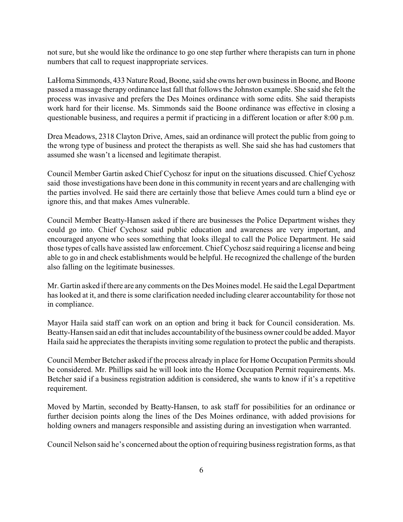not sure, but she would like the ordinance to go one step further where therapists can turn in phone numbers that call to request inappropriate services.

LaHoma Simmonds, 433 Nature Road, Boone, said she owns her own business in Boone, and Boone passed a massage therapy ordinance last fall that follows the Johnston example. She said she felt the process was invasive and prefers the Des Moines ordinance with some edits. She said therapists work hard for their license. Ms. Simmonds said the Boone ordinance was effective in closing a questionable business, and requires a permit if practicing in a different location or after 8:00 p.m.

Drea Meadows, 2318 Clayton Drive, Ames, said an ordinance will protect the public from going to the wrong type of business and protect the therapists as well. She said she has had customers that assumed she wasn't a licensed and legitimate therapist.

Council Member Gartin asked Chief Cychosz for input on the situations discussed. Chief Cychosz said those investigations have been done in this community in recent years and are challenging with the parties involved. He said there are certainly those that believe Ames could turn a blind eye or ignore this, and that makes Ames vulnerable.

Council Member Beatty-Hansen asked if there are businesses the Police Department wishes they could go into. Chief Cychosz said public education and awareness are very important, and encouraged anyone who sees something that looks illegal to call the Police Department. He said those types of calls have assisted law enforcement. Chief Cychosz said requiring a license and being able to go in and check establishments would be helpful. He recognized the challenge of the burden also falling on the legitimate businesses.

Mr. Gartin asked if there are any comments on the Des Moines model. He said the Legal Department has looked at it, and there is some clarification needed including clearer accountability for those not in compliance.

Mayor Haila said staff can work on an option and bring it back for Council consideration. Ms. Beatty-Hansen said an edit that includes accountabilityof the business owner could be added. Mayor Haila said he appreciates the therapists inviting some regulation to protect the public and therapists.

Council Member Betcher asked if the process already in place for Home Occupation Permits should be considered. Mr. Phillips said he will look into the Home Occupation Permit requirements. Ms. Betcher said if a business registration addition is considered, she wants to know if it's a repetitive requirement.

Moved by Martin, seconded by Beatty-Hansen, to ask staff for possibilities for an ordinance or further decision points along the lines of the Des Moines ordinance, with added provisions for holding owners and managers responsible and assisting during an investigation when warranted.

Council Nelson said he's concerned about the option of requiring business registration forms, as that